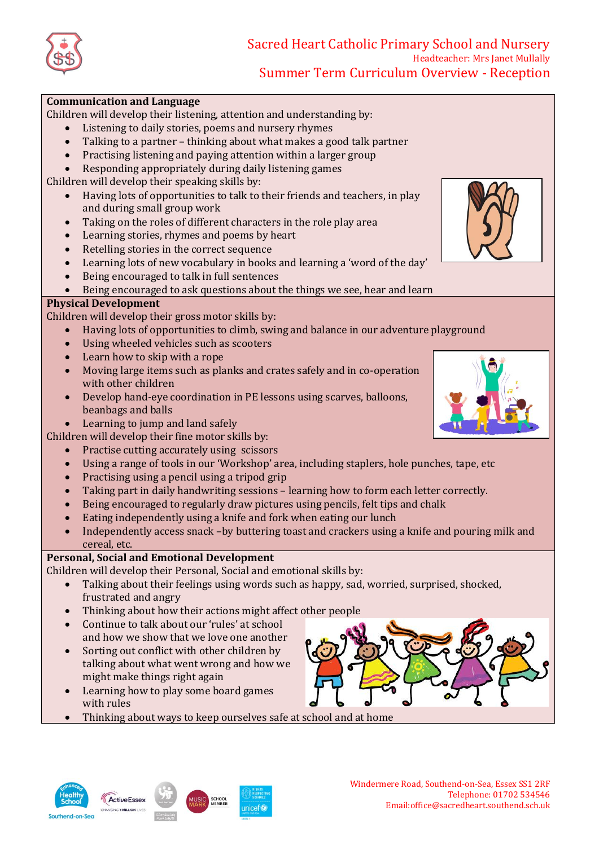

# Sacred Heart Catholic Primary School and Nursery Headteacher: Mrs Janet Mullally Summer Term Curriculum Overview - Reception

### **Communication and Language**

Children will develop their listening, attention and understanding by:

- Listening to daily stories, poems and nursery rhymes
- Talking to a partner thinking about what makes a good talk partner
- Practising listening and paying attention within a larger group
- Responding appropriately during daily listening games

Children will develop their speaking skills by:

- Having lots of opportunities to talk to their friends and teachers, in play and during small group work
- Taking on the roles of different characters in the role play area
- Learning stories, rhymes and poems by heart
- Retelling stories in the correct sequence
- Learning lots of new vocabulary in books and learning a 'word of the day'
- Being encouraged to talk in full sentences
- Being encouraged to ask questions about the things we see, hear and learn

### **Physical Development**

Children will develop their gross motor skills by:

- Having lots of opportunities to climb, swing and balance in our adventure playground
- Using wheeled vehicles such as scooters
- Learn how to skip with a rope
- Moving large items such as planks and crates safely and in co-operation with other children
- Develop hand-eye coordination in PE lessons using scarves, balloons, beanbags and balls
- Learning to jump and land safely
- Children will develop their fine motor skills by:
	- Practise cutting accurately using scissors
	- Using a range of tools in our 'Workshop' area, including staplers, hole punches, tape, etc
	- Practising using a pencil using a tripod grip
	- Taking part in daily handwriting sessions learning how to form each letter correctly.
	- Being encouraged to regularly draw pictures using pencils, felt tips and chalk
	- Eating independently using a knife and fork when eating our lunch
	- Independently access snack –by buttering toast and crackers using a knife and pouring milk and cereal, etc.

## **Personal, Social and Emotional Development**

Children will develop their Personal, Social and emotional skills by:

- Talking about their feelings using words such as happy, sad, worried, surprised, shocked, frustrated and angry
- Thinking about how their actions might affect other people
- Continue to talk about our 'rules' at school and how we show that we love one another
- Sorting out conflict with other children by talking about what went wrong and how we might make things right again
- Learning how to play some board games with rules
- Thinking about ways to keep ourselves safe at school and at home











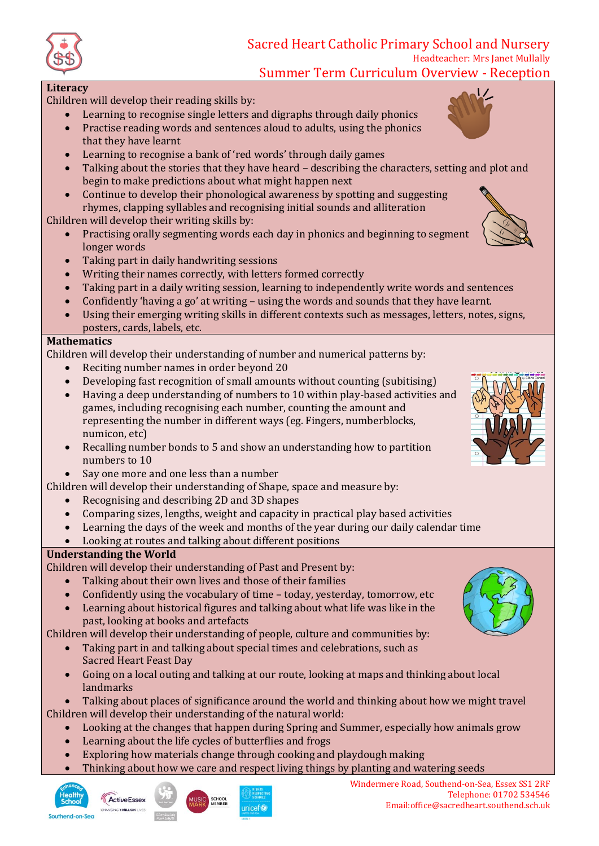

# Sacred Heart Catholic Primary School and Nursery Headteacher: Mrs Janet Mullally

Summer Term Curriculum Overview - Reception

### **Literacy**

Children will develop their reading skills by:

- Learning to recognise single letters and digraphs through daily phonics
- Practise reading words and sentences aloud to adults, using the phonics that they have learnt
- Learning to recognise a bank of 'red words' through daily games
- Talking about the stories that they have heard describing the characters, setting and plot and begin to make predictions about what might happen next
- Continue to develop their phonological awareness by spotting and suggesting rhymes, clapping syllables and recognising initial sounds and alliteration

Children will develop their writing skills by:

- Practising orally segmenting words each day in phonics and beginning to segment longer words
- Taking part in daily handwriting sessions
- Writing their names correctly, with letters formed correctly
- Taking part in a daily writing session, learning to independently write words and sentences
- Confidently 'having a go' at writing using the words and sounds that they have learnt.
- Using their emerging writing skills in different contexts such as messages, letters, notes, signs, posters, cards, labels, etc.

### **Mathematics**

Children will develop their understanding of number and numerical patterns by:

- Reciting number names in order beyond 20
- Developing fast recognition of small amounts without counting (subitising)
- Having a deep understanding of numbers to 10 within play-based activities and games, including recognising each number, counting the amount and representing the number in different ways (eg. Fingers, numberblocks, numicon, etc)
- Recalling number bonds to 5 and show an understanding how to partition numbers to 10
- Say one more and one less than a number

Children will develop their understanding of Shape, space and measure by:

- Recognising and describing 2D and 3D shapes
- Comparing sizes, lengths, weight and capacity in practical play based activities
- Learning the days of the week and months of the year during our daily calendar time
- Looking at routes and talking about different positions

## **Understanding the World**

Children will develop their understanding of Past and Present by:

- Talking about their own lives and those of their families
- Confidently using the vocabulary of time today, yesterday, tomorrow, etc
- Learning about historical figures and talking about what life was like in the past, looking at books and artefacts

Children will develop their understanding of people, culture and communities by:

- Taking part in and talking about special times and celebrations, such as Sacred Heart Feast Day
- Going on a local outing and talking at our route, looking at maps and thinking about local landmarks

 Talking about places of significance around the world and thinking about how we might travel Children will develop their understanding of the natural world:

- Looking at the changes that happen during Spring and Summer, especially how animals grow
- Learning about the life cycles of butterflies and frogs
- Exploring how materials change through cooking and playdough making
- Thinking about how we care and respect living things by planting and watering seeds



Southend-on-Sea